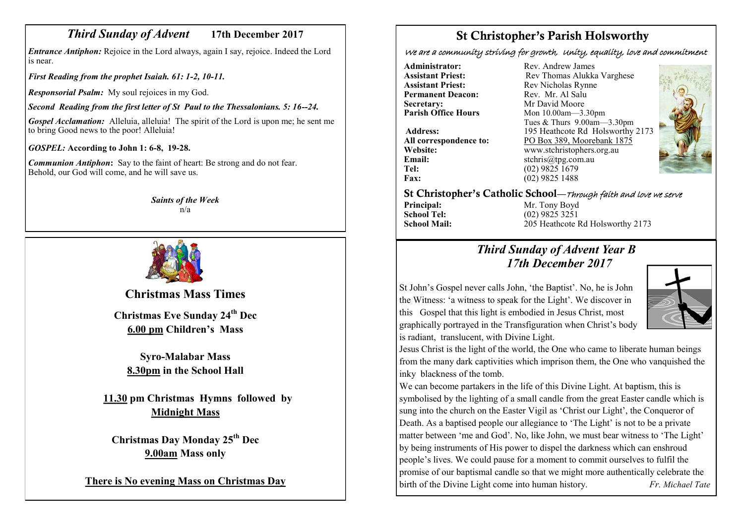## *Third Sunday of Advent* **17th December 2017**

*Entrance Antiphon:* Rejoice in the Lord always, again I say, rejoice. Indeed the Lord is near.

*First Reading from the prophet Isaiah. 61: 1-2, 10-11.*

*Responsorial Psalm:* My soul rejoices in my God.

*Second Reading from the first letter of St Paul to the Thessalonians. 5: 16--24.*

*Gospel Acclamation:* Alleluia, alleluia! The spirit of the Lord is upon me; he sent me to bring Good news to the poor! Alleluia!

*GOSPEL:* **According to John 1: 6-8, 19-28.**

*Communion Antiphon***:** Say to the faint of heart: Be strong and do not fear. Behold, our God will come, and he will save us.

> *Saints of the Week* n/a



**Christmas Mass Times Christmas Eve Sunday 24th Dec 6.00 pm Children's Mass**

**Syro-Malabar Mass 8.30pm in the School Hall**

**11.30 pm Christmas Hymns followed by Midnight Mass**

**Christmas Day Monday 25th Dec 9.00am Mass only** 

**There is No evening Mass on Christmas Day** 

# St Christopher's Parish Holsworthy

We are a community striving for growth, Unity, equality, love and commitment

**Permanent Deacon: Secretary:** Mr David Moore<br> **Parish Office Hours** Mon 10.00am—3.

**Email:** stchris@tpg.com.au<br> **Tel:** (02) 9825 1679 **Fax:** (02) 9825 1488

**Administrator:** Rev. Andrew James<br> **Assistant Priest:** Rev. Thomas Alukka **Assistant Priest: Rev Thomas Alukka Varghese**<br> **Assistant Priest: Rev Nicholas Rynne** Rev Nicholas Rynne<br>Rev Mr Al Salu **Parish Office Hours** Mon 10.00am—3.30pm Tues & Thurs 9.00am—3.30pm **Address:** 195 Heathcote Rd Holsworthy 2173 All correspondence to:  $\frac{PO \text{ Box } 389, \text{ Moorebank } 1875}{\text{www.stchristophers.org.au}}$ **Website:** www.stchristophers.org.au<br> **Email:** stchris@tng.com au **Tel:** (02) 9825 1679



St Christopher's Catholic School—Through faith and love we serve

**Principal:** Mr. Tony Boyd<br> **School Tel:** (02) 9825 3251 **School Tel:** (02) 9825 3251<br>**School Mail:** 205 Heathcote 1

**School Mail:** 205 Heathcote Rd Holsworthy 2173

## *Third Sunday of Advent Year B 17th December 2017*

St John's Gospel never calls John, 'the Baptist'. No, he is John the Witness: 'a witness to speak for the Light'. We discover in this Gospel that this light is embodied in Jesus Christ, most graphically portrayed in the Transfiguration when Christ's body is radiant, translucent, with Divine Light.



Jesus Christ is the light of the world, the One who came to liberate human beings from the many dark captivities which imprison them, the One who vanquished the inky blackness of the tomb.

We can become partakers in the life of this Divine Light. At baptism, this is symbolised by the lighting of a small candle from the great Easter candle which is sung into the church on the Easter Vigil as 'Christ our Light', the Conqueror of Death. As a baptised people our allegiance to 'The Light' is not to be a private matter between 'me and God'. No, like John, we must bear witness to 'The Light' by being instruments of His power to dispel the darkness which can enshroud people's lives. We could pause for a moment to commit ourselves to fulfil the promise of our baptismal candle so that we might more authentically celebrate the birth of the Divine Light come into human history. *Fr. Michael Tate*